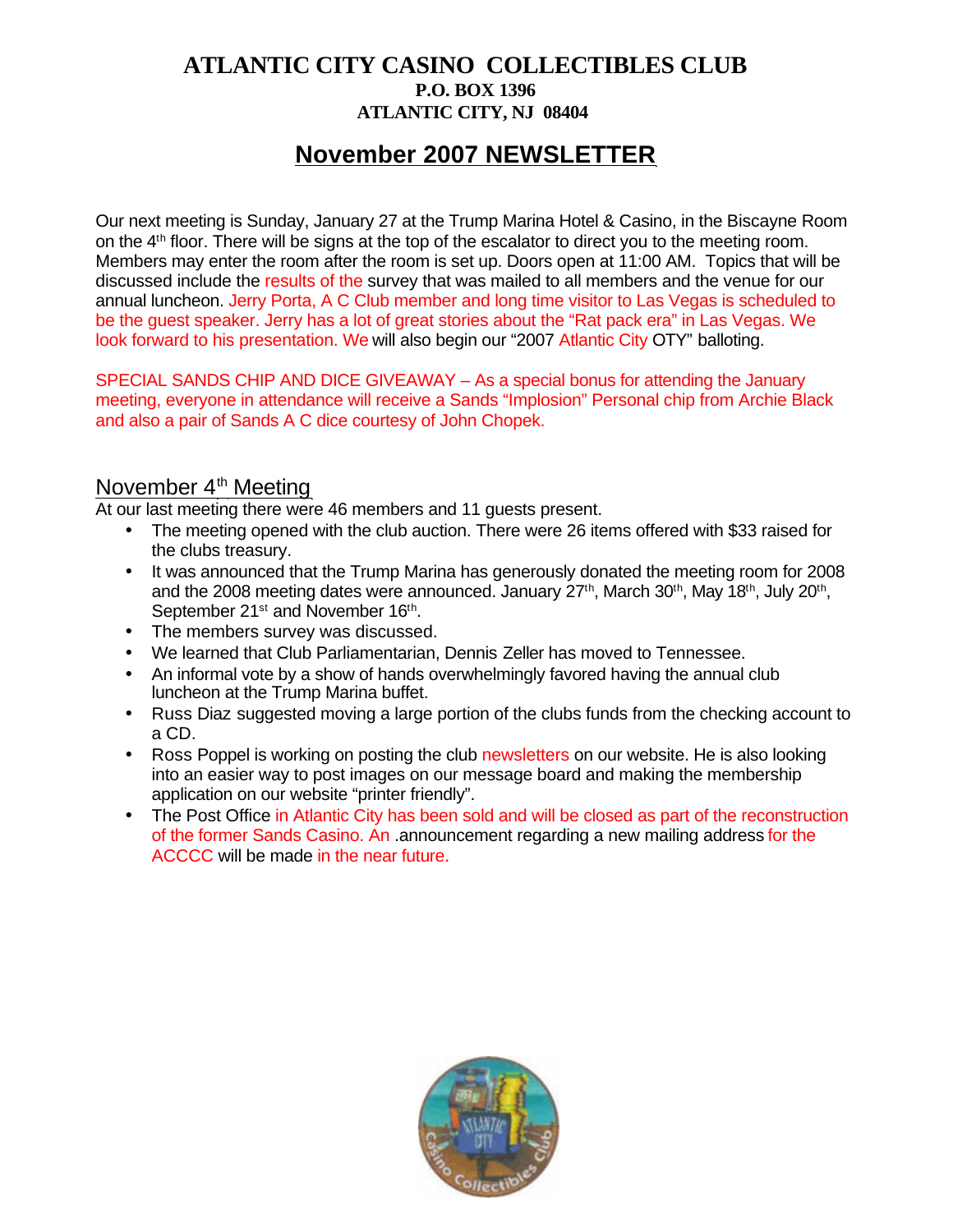## **ATLANTIC CITY CASINO COLLECTIBLES CLUB P.O. BOX 1396 ATLANTIC CITY, NJ 08404**

# **November 2007 NEWSLETTER**

Our next meeting is Sunday, January 27 at the Trump Marina Hotel & Casino, in the Biscayne Room on the 4<sup>th</sup> floor. There will be signs at the top of the escalator to direct you to the meeting room. Members may enter the room after the room is set up. Doors open at 11:00 AM. Topics that will be discussed include the results of the survey that was mailed to all members and the venue for our annual luncheon. Jerry Porta, A C Club member and long time visitor to Las Vegas is scheduled to be the guest speaker. Jerry has a lot of great stories about the "Rat pack era" in Las Vegas. We look forward to his presentation. We will also begin our "2007 Atlantic City OTY" balloting.

SPECIAL SANDS CHIP AND DICE GIVEAWAY – As a special bonus for attending the January meeting, everyone in attendance will receive a Sands "Implosion" Personal chip from Archie Black and also a pair of Sands A C dice courtesy of John Chopek.

#### November  $4<sup>th</sup>$  Meeting

At our last meeting there were 46 members and 11 guests present.

- The meeting opened with the club auction. There were 26 items offered with \$33 raised for the clubs treasury.
- It was announced that the Trump Marina has generously donated the meeting room for 2008 and the 2008 meeting dates were announced. January 27<sup>th</sup>, March 30<sup>th</sup>, May 18<sup>th</sup>, July 20<sup>th</sup>, September 21<sup>st</sup> and November 16<sup>th</sup>.
- The members survey was discussed.
- We learned that Club Parliamentarian, Dennis Zeller has moved to Tennessee.
- An informal vote by a show of hands overwhelmingly favored having the annual club luncheon at the Trump Marina buffet.
- Russ Diaz suggested moving a large portion of the clubs funds from the checking account to a CD.
- Ross Poppel is working on posting the club newsletters on our website. He is also looking into an easier way to post images on our message board and making the membership application on our website "printer friendly".
- The Post Office in Atlantic City has been sold and will be closed as part of the reconstruction of the former Sands Casino. An .announcement regarding a new mailing address for the ACCCC will be made in the near future.